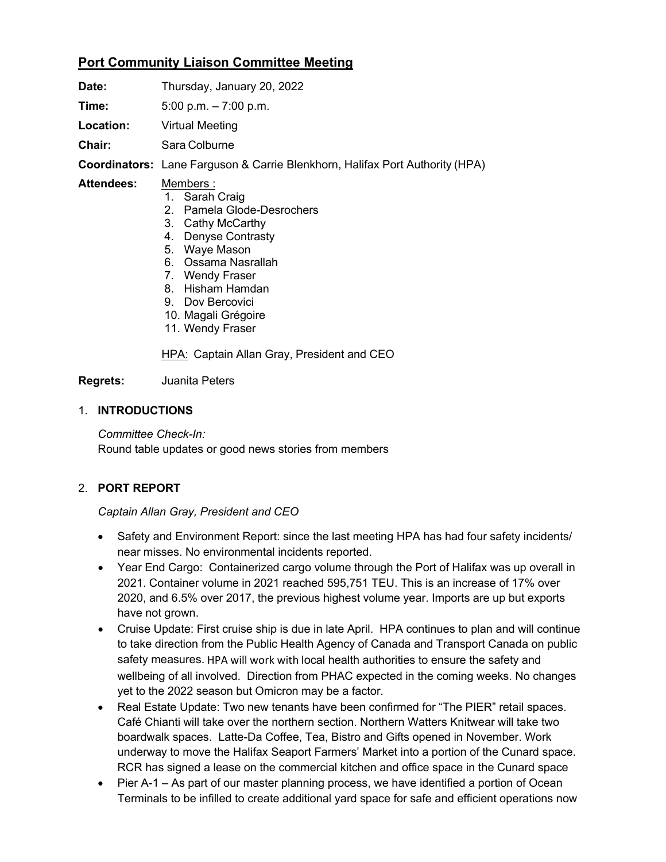# **Port Community Liaison Committee Meeting**

| Date:             | Thursday, January 20, 2022                                                                                                                                    |
|-------------------|---------------------------------------------------------------------------------------------------------------------------------------------------------------|
| Time:             | 5:00 p.m. $-7:00$ p.m.                                                                                                                                        |
| Location:         | Virtual Meeting                                                                                                                                               |
| Chair:            | Sara Colburne                                                                                                                                                 |
|                   | <b>Coordinators:</b> Lane Farguson & Carrie Blenkhorn, Halifax Port Authority (HPA)                                                                           |
| <b>Attendees:</b> | Members :<br>1. Sarah Craig<br>2. Pamela Glode-Desrochers<br>3. Cathy McCarthy<br>4. Denyse Contrasty<br>5. Waye Mason<br>6. Ossama Nasrallah<br>Wendy Fraser |

- 7. Wendy Fraser
- 8. Hisham Hamdan
- 9. Dov Bercovici
- 10. Magali Grégoire
- 11. Wendy Fraser

HPA: Captain Allan Gray, President and CEO

#### **Regrets:** Juanita Peters

#### 1. **INTRODUCTIONS**

*Committee Check-In:*  Round table updates or good news stories from members

### 2. **PORT REPORT**

*Captain Allan Gray, President and CEO*

- Safety and Environment Report: since the last meeting HPA has had four safety incidents/ near misses. No environmental incidents reported.
- Year End Cargo: Containerized cargo volume through the Port of Halifax was up overall in 2021. Container volume in 2021 reached 595,751 TEU. This is an increase of 17% over 2020, and 6.5% over 2017, the previous highest volume year. Imports are up but exports have not grown.
- Cruise Update: First cruise ship is due in late April. HPA continues to plan and will continue to take direction from the Public Health Agency of Canada and Transport Canada on public safety measures. HPA will work with local health authorities to ensure the safety and wellbeing of all involved. Direction from PHAC expected in the coming weeks. No changes yet to the 2022 season but Omicron may be a factor.
- Real Estate Update: Two new tenants have been confirmed for "The PIER" retail spaces. Café Chianti will take over the northern section. Northern Watters Knitwear will take two boardwalk spaces. Latte-Da Coffee, Tea, Bistro and Gifts opened in November. Work underway to move the Halifax Seaport Farmers' Market into a portion of the Cunard space. RCR has signed a lease on the commercial kitchen and office space in the Cunard space
- Pier A-1 As part of our master planning process, we have identified a portion of Ocean Terminals to be infilled to create additional yard space for safe and efficient operations now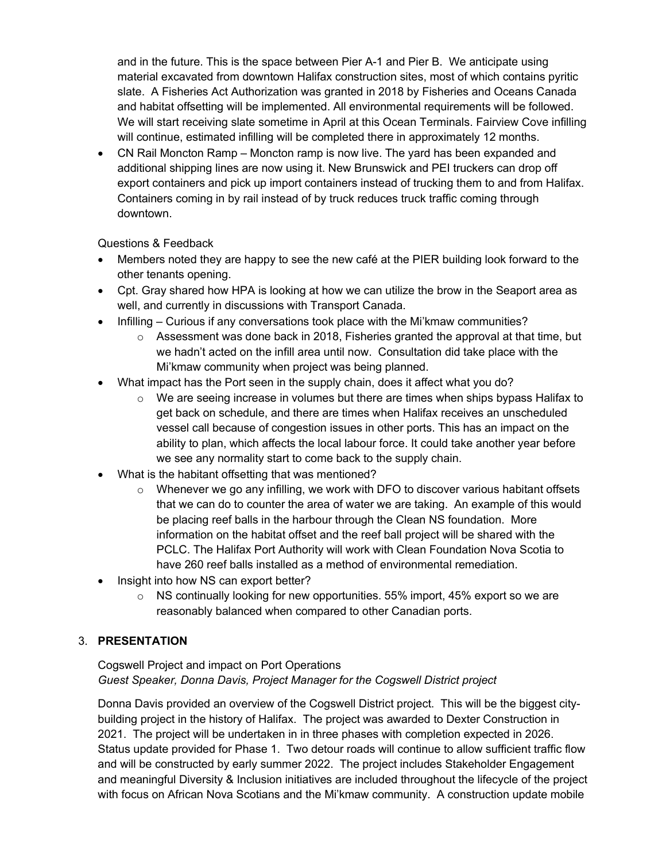and in the future. This is the space between Pier A-1 and Pier B. We anticipate using material excavated from downtown Halifax construction sites, most of which contains pyritic slate. A Fisheries Act Authorization was granted in 2018 by Fisheries and Oceans Canada and habitat offsetting will be implemented. All environmental requirements will be followed. We will start receiving slate sometime in April at this Ocean Terminals. Fairview Cove infilling will continue, estimated infilling will be completed there in approximately 12 months.

• CN Rail Moncton Ramp – Moncton ramp is now live. The yard has been expanded and additional shipping lines are now using it. New Brunswick and PEI truckers can drop off export containers and pick up import containers instead of trucking them to and from Halifax. Containers coming in by rail instead of by truck reduces truck traffic coming through downtown.

Questions & Feedback

- Members noted they are happy to see the new café at the PIER building look forward to the other tenants opening.
- Cpt. Gray shared how HPA is looking at how we can utilize the brow in the Seaport area as well, and currently in discussions with Transport Canada.
- Infilling Curious if any conversations took place with the Mi'kmaw communities?
	- $\circ$  Assessment was done back in 2018, Fisheries granted the approval at that time, but we hadn't acted on the infill area until now. Consultation did take place with the Mi'kmaw community when project was being planned.
- What impact has the Port seen in the supply chain, does it affect what you do?
	- $\circ$  We are seeing increase in volumes but there are times when ships bypass Halifax to get back on schedule, and there are times when Halifax receives an unscheduled vessel call because of congestion issues in other ports. This has an impact on the ability to plan, which affects the local labour force. It could take another year before we see any normality start to come back to the supply chain.
- What is the habitant offsetting that was mentioned?
	- $\circ$  Whenever we go any infilling, we work with DFO to discover various habitant offsets that we can do to counter the area of water we are taking. An example of this would be placing reef balls in the harbour through the Clean NS foundation. More information on the habitat offset and the reef ball project will be shared with the PCLC. The Halifax Port Authority will work with Clean Foundation Nova Scotia to have 260 reef balls installed as a method of environmental remediation.
- Insight into how NS can export better?
	- $\circ$  NS continually looking for new opportunities. 55% import, 45% export so we are reasonably balanced when compared to other Canadian ports.

### 3. **PRESENTATION**

### Cogswell Project and impact on Port Operations *Guest Speaker, Donna Davis, Project Manager for the Cogswell District project*

Donna Davis provided an overview of the Cogswell District project. This will be the biggest citybuilding project in the history of Halifax. The project was awarded to Dexter Construction in 2021. The project will be undertaken in in three phases with completion expected in 2026. Status update provided for Phase 1. Two detour roads will continue to allow sufficient traffic flow and will be constructed by early summer 2022. The project includes Stakeholder Engagement and meaningful Diversity & Inclusion initiatives are included throughout the lifecycle of the project with focus on African Nova Scotians and the Mi'kmaw community. A construction update mobile